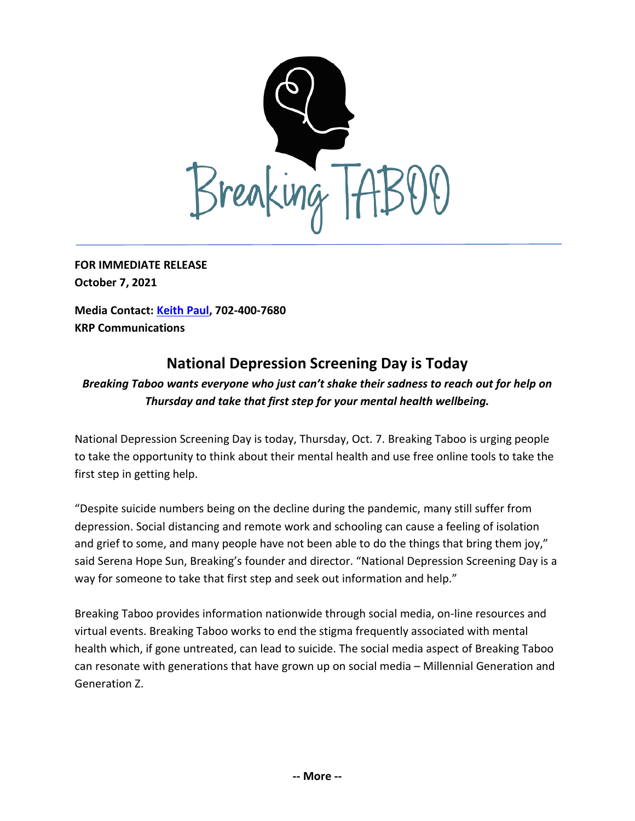

**FOR IMMEDIATE RELEASE October 7, 2021**

**Media Contact: [Keith Paul,](mailto:keithrpaul@outlook.com) 702-400-7680 KRP Communications**

## **National Depression Screening Day is Today**

## *Breaking Taboo wants everyone who just can't shake their sadness to reach out for help on Thursday and take that first step for your mental health wellbeing.*

National Depression Screening Day is today, Thursday, Oct. 7. Breaking Taboo is urging people to take the opportunity to think about their mental health and use free online tools to take the first step in getting help.

"Despite suicide numbers being on the decline during the pandemic, many still suffer from depression. Social distancing and remote work and schooling can cause a feeling of isolation and grief to some, and many people have not been able to do the things that bring them joy," said Serena Hope Sun, Breaking's founder and director. "National Depression Screening Day is a way for someone to take that first step and seek out information and help."

Breaking Taboo provides information nationwide through social media, on-line resources and virtual events. Breaking Taboo works to end the stigma frequently associated with mental health which, if gone untreated, can lead to suicide. The social media aspect of Breaking Taboo can resonate with generations that have grown up on social media – Millennial Generation and Generation Z.